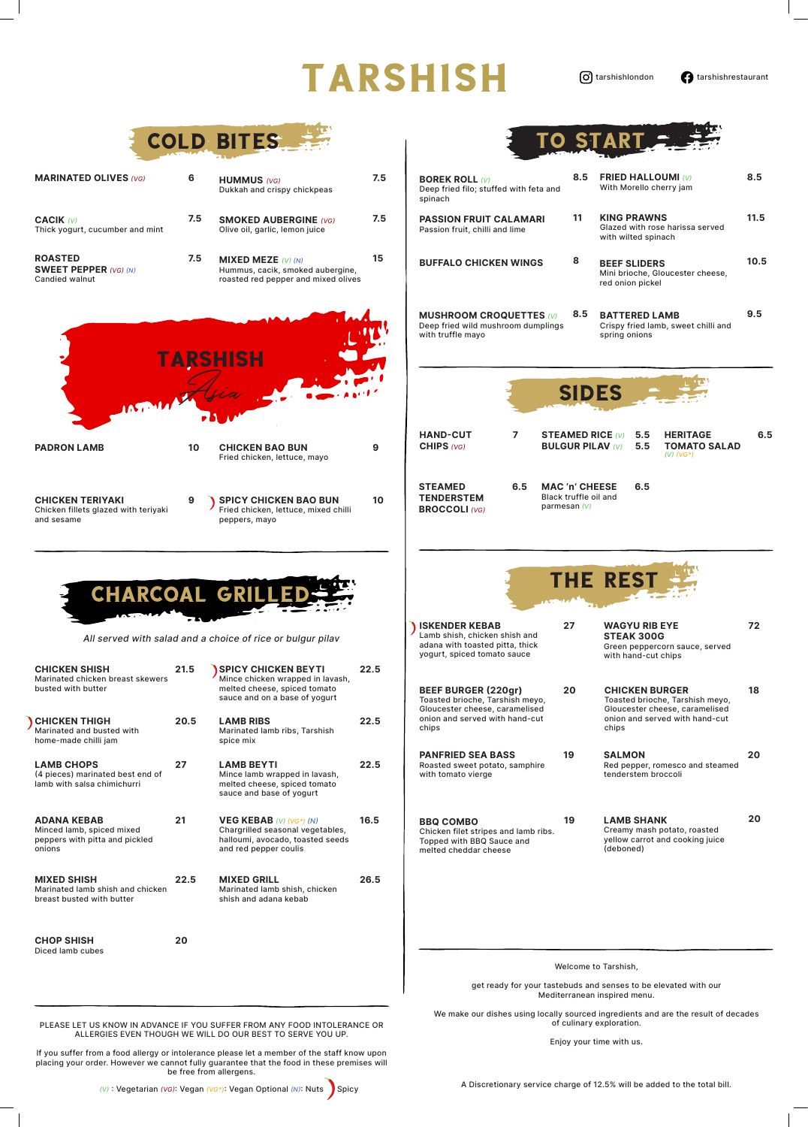## **TARSHISH**

O tarshishlondon **tarshishrestaurant** 

PLEASE LET US KNOW IN ADVANCE IF YOU SUFFER FROM ANY FOOD INTOLERANCE OR ALLERGIES EVEN THOUGH WE WILL DO OUR BEST TO SERVE YOU UP.

If you suffer from a food allergy or intolerance please let a member of the staff know upon placing your order. However we cannot fully guarantee that the food in these premises will be free from allergens.

(V): Vegetarian (VG): Vegan (VG\*): Vegan Optional (N): Nuts | Spicy

|                                                                                             |      | COLD BITES                                                                                                                      |      | TO START                                                                                                                                                                                                                     |      |
|---------------------------------------------------------------------------------------------|------|---------------------------------------------------------------------------------------------------------------------------------|------|------------------------------------------------------------------------------------------------------------------------------------------------------------------------------------------------------------------------------|------|
| <b>MARINATED OLIVES (VG)</b>                                                                | 6    | <b>HUMMUS</b> (VG)<br>Dukkah and crispy chickpeas                                                                               | 7.5  | 8.5<br><b>FRIED HALLOUMI (V)</b><br><b>BOREK ROLL (V)</b><br>With Morello cherry jam<br>Deep fried filo; stuffed with feta and<br>spinach                                                                                    | 8.5  |
| <b>CACIK (V)</b><br>Thick yogurt, cucumber and mint                                         | 7.5  | <b>SMOKED AUBERGINE (VG)</b><br>Olive oil, garlic, lemon juice                                                                  | 7.5  | <b>KING PRAWNS</b><br>11<br><b>PASSION FRUIT CALAMARI</b><br>Glazed with rose harissa served<br>Passion fruit, chilli and lime<br>with wilted spinach                                                                        | 11.5 |
| <b>ROASTED</b><br><b>SWEET PEPPER (VG) (N)</b><br><b>Candied walnut</b>                     | 7.5  | <b>MIXED MEZE</b> $(V)$ $(N)$<br>Hummus, cacik, smoked aubergine,<br>roasted red pepper and mixed olives                        | 15   | 8<br><b>BUFFALO CHICKEN WINGS</b><br><b>BEEF SLIDERS</b><br>Mini brioche, Gloucester cheese,<br>red onion pickel                                                                                                             | 10.5 |
|                                                                                             |      | TARSHISH                                                                                                                        |      | 8.5<br><b>BATTERED LAMB</b><br><b>MUSHROOM CROQUETTES (V)</b><br>Deep fried wild mushroom dumplings<br>Crispy fried lamb, sweet chilli and<br>with truffle mayo<br>spring onions<br><b>SIDES</b>                             | 9.5  |
| m. m/ trigia                                                                                |      |                                                                                                                                 |      |                                                                                                                                                                                                                              |      |
| <b>PADRON LAMB</b>                                                                          | 10   | <b>CHICKEN BAO BUN</b><br>Fried chicken, lettuce, mayo                                                                          | 9    | <b>HAND-CUT</b><br><b>HERITAGE</b><br>7<br><b>STEAMED RICE (V)</b><br>5.5<br><b>BULGUR PILAV (V)</b><br>5.5<br><b>TOMATO SALAD</b><br>CHIPS (VG)<br>$(V)$ (VG*)                                                              | 6.5  |
| <b>CHICKEN TERIYAKI</b><br>Chicken fillets glazed with teriyaki<br>and sesame               | 9    | <b>SPICY CHICKEN BAO BUN</b><br>Fried chicken, lettuce, mixed chilli<br>peppers, mayo                                           | 10   | <b>MAC 'n' CHEESE</b><br><b>STEAMED</b><br>6.5<br>6.5<br>Black truffle oil and<br><b>TENDERSTEM</b><br>parmesan (V)<br><b>BROCCOLI (VG)</b>                                                                                  |      |
|                                                                                             |      | CHARCOAL GRILLEDS                                                                                                               |      | THE REST                                                                                                                                                                                                                     |      |
| All served with salad and a choice of rice or bulgur pilav                                  |      |                                                                                                                                 |      | 27<br><b>ISKENDER KEBAB</b><br><b>WAGYU RIB EYE</b><br>Lamb shish, chicken shish and<br><b>STEAK 300G</b><br>adana with toasted pitta, thick<br>Green peppercorn sauce, served<br>yogurt, spiced tomato sauce                | 72   |
| <b>CHICKEN SHISH</b><br>Marinated chicken breast skewers<br>busted with butter              | 21.5 | <b>SPICY CHICKEN BEYTI</b><br>Mince chicken wrapped in lavash,<br>melted cheese, spiced tomato<br>sauce and on a base of yogurt | 22.5 | with hand-cut chips<br><b>BEEF BURGER (220gr)</b><br>20<br><b>CHICKEN BURGER</b>                                                                                                                                             | 18   |
| <b>CHICKEN THIGH</b><br>Marinated and busted with<br>home-made chilli jam                   | 20.5 | <b>LAMB RIBS</b><br>Marinated lamb ribs, Tarshish<br>spice mix                                                                  | 22.5 | Toasted brioche, Tarshish meyo,<br>Toasted brioche, Tarshish meyo,<br>Gloucester cheese, caramelised<br>Gloucester cheese, caramelised<br>onion and served with hand-cut<br>onion and served with hand-cut<br>chips<br>chips |      |
| <b>LAMB CHOPS</b><br>(4 pieces) marinated best end of<br>lamb with salsa chimichurri        | 27   | <b>LAMB BEYTI</b><br>Mince lamb wrapped in lavash,<br>melted cheese, spiced tomato<br>sauce and base of yogurt                  | 22.5 | 19<br><b>PANFRIED SEA BASS</b><br><b>SALMON</b><br>Roasted sweet potato, samphire<br>Red pepper, romesco and steamed<br>with tomato vierge<br>tenderstem broccoli                                                            | 20   |
| <b>ADANA KEBAB</b><br>Minced lamb, spiced mixed<br>peppers with pitta and pickled<br>onions | 21   | <b>VEG KEBAB</b> (V) (VG*) (N)<br>Chargrilled seasonal vegetables,<br>halloumi, avocado, toasted seeds<br>and red pepper coulis | 16.5 | 19<br><b>LAMB SHANK</b><br><b>BBQ COMBO</b><br>Creamy mash potato, roasted<br>Chicken filet stripes and lamb ribs.<br>yellow carrot and cooking juice<br>Topped with BBQ Sauce and<br>(deboned)<br>melted cheddar cheese     | 20   |
| <b>MIXED SHISH</b><br>Marinated lamb shish and chicken<br>breast busted with butter         | 22.5 | <b>MIXED GRILL</b><br>Marinated lamb shish, chicken<br>shish and adana kebab                                                    | 26.5 |                                                                                                                                                                                                                              |      |
| <b>CHOP SHISH</b><br>Diced lamb cubes                                                       | 20   |                                                                                                                                 |      | Welcome to Tarshish,                                                                                                                                                                                                         |      |

A Discretionary service charge of 12.5% will be added to the total bill.

get ready for your tastebuds and senses to be elevated with our Mediterranean inspired menu.

We make our dishes using locally sourced ingredients and are the result of decades of culinary exploration.

Enjoy your time with us.